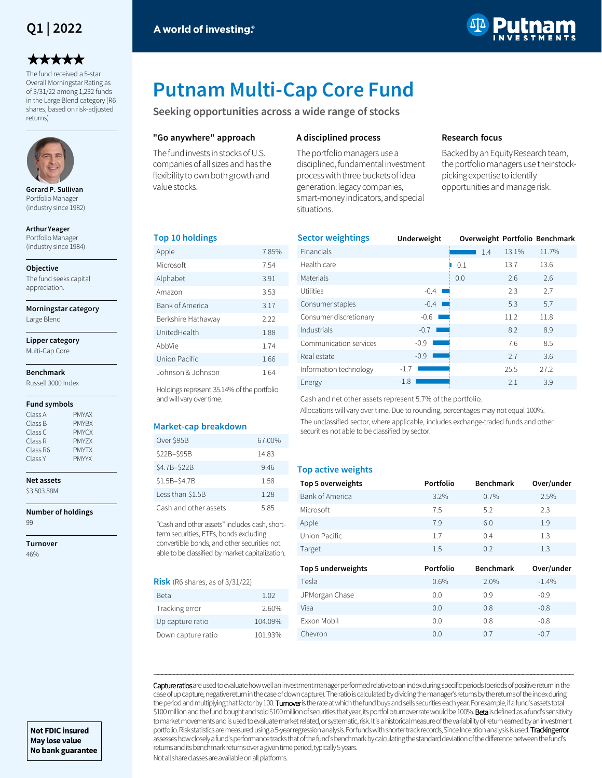# **Q1 | 2022**

# \*\*\*\*\*

The fund received a 5-star Overall Morningstar Rating as of 3/31/22 among 1,232 funds in the Large Blend category (R6 shares, based on risk-adjusted returns)



**Gerard P. Sullivan**  Portfolio Manager (industry since 1982)

**Arthur Yeager**  Portfolio Manager (industry since 1984)

**Objective**

The fund seeks capital appreciation.

**Morningstar category**

Large Blend

**Lipper category** Multi-Cap Core

# **Benchmark**

Russell 3000 Index

#### **Fund symbols**

| Class A  | <b>PMYAX</b> |
|----------|--------------|
| Class B  | <b>PMYBX</b> |
| Class C  | <b>PMYCX</b> |
| Class R  | PMY7X        |
| Class R6 | <b>PMYTX</b> |
| Class Y  | <b>PMYYX</b> |

**Net assets** \$3,503.58M

**Number of holdings** 99

**Turnover** 46%



# **Putnam Multi-Cap Core Fund**

**Seeking opportunities across a wide range of stocks**

### **"Go anywhere" approach**

The fund invests in stocks of U.S. companies of all sizes and has the flexibility to own both growth and value stocks.

## **A disciplined process**

The portfolio managers use a disciplined, fundamental investment process with three buckets of idea generation: legacy companies, smart-money indicators, and special situations.

## **Research focus**

Backed by an Equity Research team, the portfolio managers use their stockpicking expertise to identify opportunities and manage risk.

#### **Top 10 holdings**

| Apple              | 7.85% |
|--------------------|-------|
| Microsoft          | 7.54  |
| Alphabet           | 3.91  |
| Amazon             | 3.53  |
| Bank of America    | 3.17  |
| Berkshire Hathaway | 2.22  |
| UnitedHealth       | 1.88  |
| AbbVie             | 1.74  |
| Union Pacific      | 1.66  |
| Johnson & Johnson  | 1.64  |

Holdings represent 35.14% of the portfolio and will vary over time.

#### **Market-cap breakdown**

| Over \$95B            | 67.00% |
|-----------------------|--------|
| \$22B-\$95B           | 14.83  |
| \$4.7B-\$22B          | 9.46   |
| \$1.5B-\$4.7B         | 1.58   |
| Less than \$1.5B      | 1 28   |
| Cash and other assets | 585    |

"Cash and other assets" includes cash, shortterm securities, ETFs, bonds excluding convertible bonds, and other securities not able to be classified by market capitalization.

#### **Risk** (R6 shares, as of 3/31/22)

| Beta               | 1.02    |
|--------------------|---------|
| Tracking error     | 2.60%   |
| Up capture ratio   | 104.09% |
| Down capture ratio | 101.93% |

| <b>Sector weightings</b> | Underweight |     |     |       | Overweight Portfolio Benchmark |
|--------------------------|-------------|-----|-----|-------|--------------------------------|
| Financials               |             |     | 1.4 | 13.1% | 11.7%                          |
| Health care              |             | 0.1 |     | 13.7  | 13.6                           |
| <b>Materials</b>         |             | 0.0 |     | 2.6   | 2.6                            |
| Utilities                | $-0.4$      |     |     | 2.3   | 2.7                            |
| Consumer staples         | $-0.4$      |     |     | 5.3   | 5.7                            |
| Consumer discretionary   | $-0.6$      |     |     | 11.2  | 11.8                           |
| Industrials              | $-0.7$      |     |     | 8.2   | 8.9                            |
| Communication services   | $-0.9$      |     |     | 7.6   | 8.5                            |
| Real estate              | $-0.9$      |     |     | 2.7   | 3.6                            |
| Information technology   | $-1.7$      |     |     | 25.5  | 27.2                           |
| Energy                   | $-1.8$      |     |     | 2.1   | 3.9                            |

Cash and net other assets represent 5.7% of the portfolio.

Allocations will vary over time. Due to rounding, percentages may not equal 100%. The unclassified sector, where applicable, includes exchange-traded funds and other securities not able to be classified by sector.

#### **Top active weights**

| Top 5 overweights  | Portfolio | <b>Benchmark</b> | Over/under |
|--------------------|-----------|------------------|------------|
| Bank of America    | 3.2%      | 0.7%             | 2.5%       |
| Microsoft          | 7.5       | 5.2              | 2.3        |
| Apple              | 7.9       | 6.0              | 1.9        |
| Union Pacific      | 1.7       | 0.4              | 1.3        |
| Target             | $1.5\,$   | 0.2              | 1.3        |
|                    |           |                  |            |
| Top 5 underweights | Portfolio | <b>Benchmark</b> | Over/under |
| Tesla              | 0.6%      | 2.0%             | $-1.4%$    |
| JPMorgan Chase     | 0.0       | 0.9              | $-0.9$     |
| Visa               | 0.0       | 0.8              | $-0.8$     |
| Exxon Mobil        | 0.0       | 0.8              | $-0.8$     |

Capture ratios are used to evaluate how well an investment manager performed relative to an index during specific periods (periods of positive return in the case of up capture, negative return in the case of down capture). The ratio is calculated by dividing the manager's returns by the returns of the index during the period and multiplying that factor by 100. Turnover is the rate at which the fund buys and sells securities each year. For example, if a fund's assets total \$100 million and the fund bought and sold \$100 million of securities that year, its portfolio turnover rate would be 100%. Beta is defined as a fund's sensitivity to market movements and is used to evaluate market related, or systematic, risk. It is a historical measure of the variability of return earned by an investment portfolio. Risk statistics are measured using a 5-year regression analysis. For funds with shorter track records, Since Inception analysis is used. Tracking error assesses how closely a fund's performance tracks that of the fund's benchmark by calculating the standard deviation of the difference between the fund's returns and its benchmark returns over a given time period, typically 5 years.

―――――――――――――――――――――――――――――――――――――――――――――――――――――――――――――――――――――――――――――――――――――――――――――――――――――――――――

Not all share classes are available on all platforms.